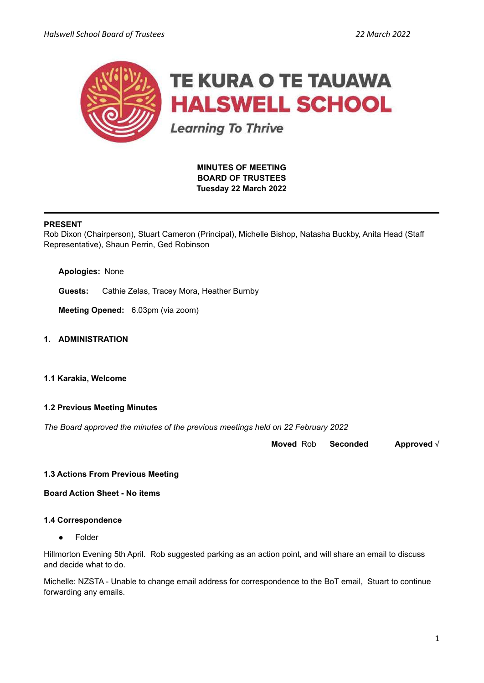

**MINUTES OF MEETING BOARD OF TRUSTEES Tuesday 22 March 2022**

# **PRESENT**

Rob Dixon (Chairperson), Stuart Cameron (Principal), Michelle Bishop, Natasha Buckby, Anita Head (Staff Representative), Shaun Perrin, Ged Robinson

**Apologies:** None

**Guests:** Cathie Zelas, Tracey Mora, Heather Burnby

**Meeting Opened:** 6.03pm (via zoom)

**1. ADMINISTRATION**

#### **1.1 Karakia, Welcome**

### **1.2 Previous Meeting Minutes**

*The Board approved the minutes of the previous meetings held on 22 February 2022*

**Moved** Rob **Seconded Approved** √

### **1.3 Actions From Previous Meeting**

**Board Action Sheet - No items**

#### **1.4 Correspondence**

● Folder

Hillmorton Evening 5th April. Rob suggested parking as an action point, and will share an email to discuss and decide what to do.

Michelle: NZSTA - Unable to change email address for correspondence to the BoT email, Stuart to continue forwarding any emails.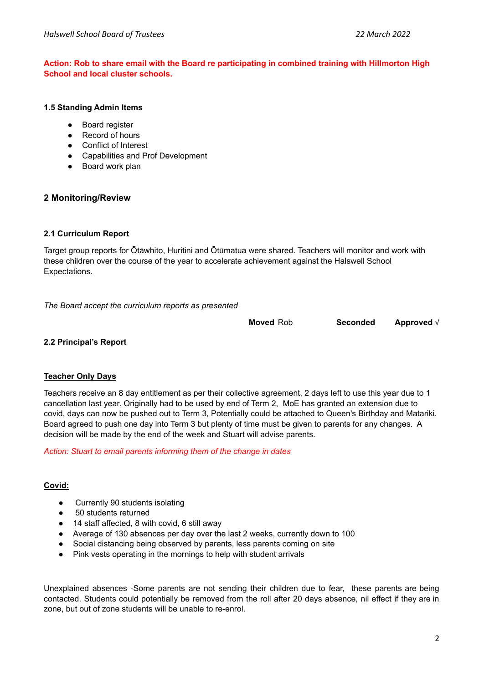# **Action: Rob to share email with the Board re participating in combined training with Hillmorton High School and local cluster schools.**

#### **1.5 Standing Admin Items**

- **Boa[r](https://drive.google.com/open?id=1LgYeP3fbHNJrrdwtKhmni7bUn5KZf6AdawXvp-8GM5I)d register**
- Record of hours
- Conflict of Interest
- Capabilities and Prof Development
- Board work plan

# **2 Monitoring/Review**

### **2.1 Curriculum Report**

Target group reports for Ōtāwhito, Huritini and Ōtūmatua were shared. Teachers will monitor and work with these children over the course of the year to accelerate achievement against the Halswell School Expectations.

*The Board accept the curriculum reports as presented*

**Moved** Rob **Seconded Approved** √

# **2.2 Principal's Report**

### **Teacher Only Days**

Teachers receive an 8 day entitlement as per their collective agreement, 2 days left to use this year due to 1 cancellation last year. Originally had to be used by end of Term 2, MoE has granted an extension due to covid, days can now be pushed out to Term 3, Potentially could be attached to Queen's Birthday and Matariki. Board agreed to push one day into Term 3 but plenty of time must be given to parents for any changes. A decision will be made by the end of the week and Stuart will advise parents.

### *Action: Stuart to email parents informing them of the change in dates*

### **Covid:**

- Currently 90 students isolating
- 50 students returned
- 14 staff affected, 8 with covid, 6 still away
- Average of 130 absences per day over the last 2 weeks, currently down to 100
- Social distancing being observed by parents, less parents coming on site
- Pink vests operating in the mornings to help with student arrivals

Unexplained absences -Some parents are not sending their children due to fear, these parents are being contacted. Students could potentially be removed from the roll after 20 days absence, nil effect if they are in zone, but out of zone students will be unable to re-enrol.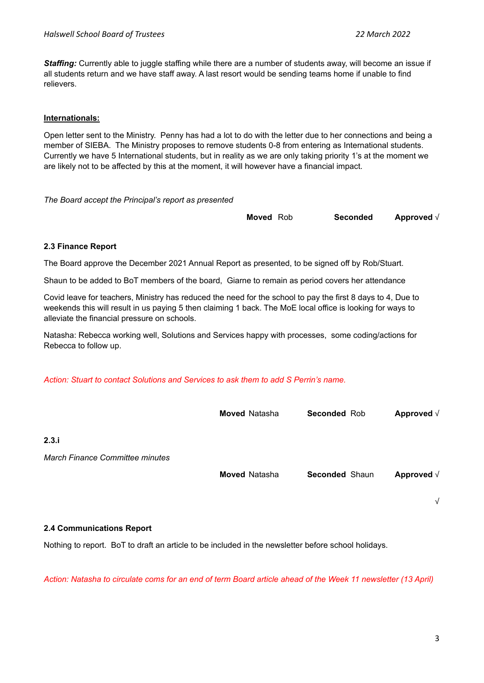*Staffing:* Currently able to juggle staffing while there are a number of students away, will become an issue if all students return and we have staff away. A last resort would be sending teams home if unable to find relievers.

# **Internationals:**

Open letter sent to the Ministry. Penny has had a lot to do with the letter due to her connections and being a member of SIEBA. The Ministry proposes to remove students 0-8 from entering as International students. Currently we have 5 International students, but in reality as we are only taking priority 1's at the moment we are likely not to be affected by this at the moment, it will however have a financial impact.

*The Board accept the Principal's report as presented*

| <b>Moved</b> Rob | <b>Seconded</b> | Approved $\sqrt{}$ |
|------------------|-----------------|--------------------|
|------------------|-----------------|--------------------|

### **2.3 Finance Report**

The Board approve the December 2021 Annual Report as presented, to be signed off by Rob/Stuart.

Shaun to be added to BoT members of the board, Giarne to remain as period covers her attendance

Covid leave for teachers, Ministry has reduced the need for the school to pay the first 8 days to 4, Due to weekends this will result in us paying 5 then claiming 1 back. The MoE local office is looking for ways to alleviate the financial pressure on schools.

Natasha: Rebecca working well, Solutions and Services happy with processes, some coding/actions for Rebecca to follow up.

*Action: Stuart to contact Solutions and Services to ask them to add S Perrin's name.*

|                                        | <b>Moved Natasha</b> | <b>Seconded Rob</b> | Approved $\sqrt{}$ |
|----------------------------------------|----------------------|---------------------|--------------------|
| 2.3.i                                  |                      |                     |                    |
| <b>March Finance Committee minutes</b> |                      |                     |                    |
|                                        | <b>Moved Natasha</b> | Seconded Shaun      | Approved $\sqrt{}$ |
|                                        |                      |                     | $\sqrt{ }$         |

### **2.4 Communications Report**

Nothing to report. BoT to draft an article to be included in the newsletter before school holidays.

Action: Natasha to circulate coms for an end of term Board article ahead of the Week 11 newsletter (13 April)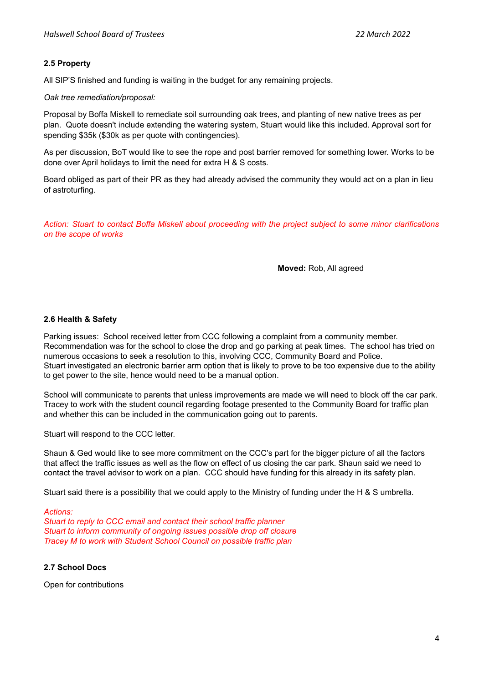# **2.5 Property**

All SIP'S finished and funding is waiting in the budget for any remaining projects.

*Oak tree remediation/proposal:*

Proposal by Boffa Miskell to remediate soil surrounding oak trees, and planting of new native trees as per plan. Quote doesn't include extending the watering system, Stuart would like this included. Approval sort for spending \$35k (\$30k as per quote with contingencies).

As per discussion, BoT would like to see the rope and post barrier removed for something lower. Works to be done over April holidays to limit the need for extra H & S costs.

Board obliged as part of their PR as they had already advised the community they would act on a plan in lieu of astroturfing.

*Action: Stuart to contact Boffa Miskell about proceeding with the project subject to some minor clarifications on the scope of works*

**Moved:** Rob, All agreed

### **2.6 Health & Safety**

Parking issues: School received letter from CCC following a complaint from a community member. Recommendation was for the school to close the drop and go parking at peak times. The school has tried on numerous occasions to seek a resolution to this, involving CCC, Community Board and Police. Stuart investigated an electronic barrier arm option that is likely to prove to be too expensive due to the ability to get power to the site, hence would need to be a manual option.

School will communicate to parents that unless improvements are made we will need to block off the car park. Tracey to work with the student council regarding footage presented to the Community Board for traffic plan and whether this can be included in the communication going out to parents.

Stuart will respond to the CCC letter.

Shaun & Ged would like to see more commitment on the CCC's part for the bigger picture of all the factors that affect the traffic issues as well as the flow on effect of us closing the car park. Shaun said we need to contact the travel advisor to work on a plan. CCC should have funding for this already in its safety plan.

Stuart said there is a possibility that we could apply to the Ministry of funding under the H & S umbrella.

#### *Actions:*

*Stuart to reply to CCC email and contact their school traffic planner Stuart to inform community of ongoing issues possible drop off closure Tracey M to work with Student School Council on possible traffic plan*

### **2.7 School Docs**

Open for contributions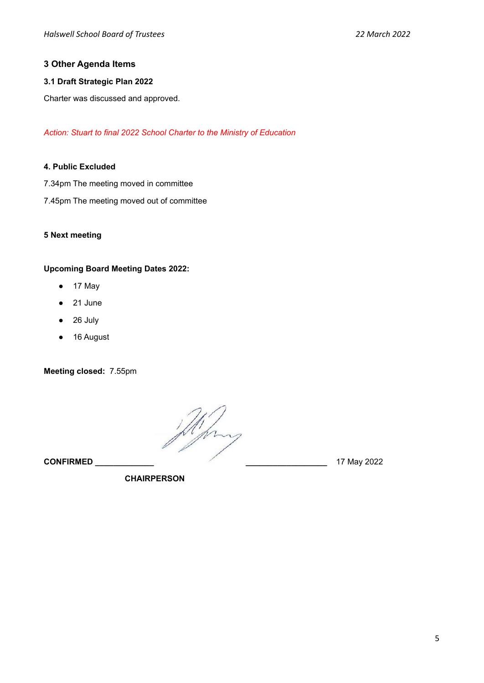# **3 Other Agenda Items**

# **3.1 Draft Strategic Plan 2022**

Charter was discussed and approved.

*Action: Stuart to final 2022 School Charter to the Ministry of Education*

# **4. Public Excluded**

- 7.34pm The meeting moved in committee
- 7.45pm The meeting moved out of committee

### **5 Next meeting**

# **Upcoming Board Meeting Dates 2022:**

- 17 May
- 21 June
- 26 July
- 16 August

**Meeting closed:** 7.55pm

**CONFIRMED CONFIRMED 17 May 2022** 

**CHAIRPERSON**